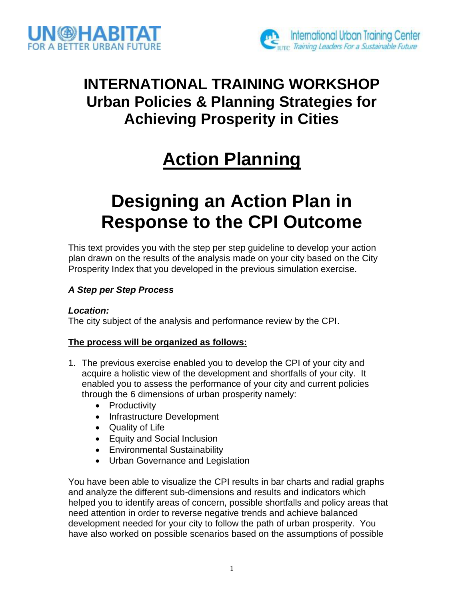



## **INTERNATIONAL TRAINING WORKSHOP Urban Policies & Planning Strategies for Achieving Prosperity in Cities**

# **Action Planning**

# **Designing an Action Plan in Response to the CPI Outcome**

This text provides you with the step per step guideline to develop your action plan drawn on the results of the analysis made on your city based on the City Prosperity Index that you developed in the previous simulation exercise.

### *A Step per Step Process*

### *Location:*

The city subject of the analysis and performance review by the CPI.

### **The process will be organized as follows:**

- 1. The previous exercise enabled you to develop the CPI of your city and acquire a holistic view of the development and shortfalls of your city. It enabled you to assess the performance of your city and current policies through the 6 dimensions of urban prosperity namely:
	- Productivity
	- Infrastructure Development
	- Quality of Life
	- Equity and Social Inclusion
	- Environmental Sustainability
	- Urban Governance and Legislation

You have been able to visualize the CPI results in bar charts and radial graphs and analyze the different sub-dimensions and results and indicators which helped you to identify areas of concern, possible shortfalls and policy areas that need attention in order to reverse negative trends and achieve balanced development needed for your city to follow the path of urban prosperity. You have also worked on possible scenarios based on the assumptions of possible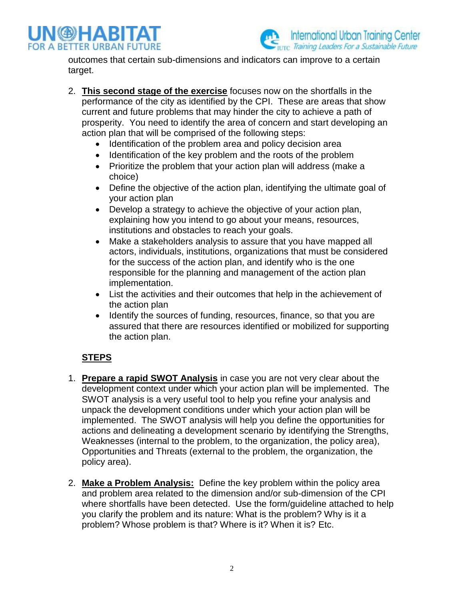



outcomes that certain sub-dimensions and indicators can improve to a certain target.

- 2. **This second stage of the exercise** focuses now on the shortfalls in the performance of the city as identified by the CPI. These are areas that show current and future problems that may hinder the city to achieve a path of prosperity. You need to identify the area of concern and start developing an action plan that will be comprised of the following steps:
	- Identification of the problem area and policy decision area
	- Identification of the key problem and the roots of the problem
	- Prioritize the problem that your action plan will address (make a choice)
	- Define the objective of the action plan, identifying the ultimate goal of your action plan
	- Develop a strategy to achieve the objective of your action plan, explaining how you intend to go about your means, resources, institutions and obstacles to reach your goals.
	- Make a stakeholders analysis to assure that you have mapped all actors, individuals, institutions, organizations that must be considered for the success of the action plan, and identify who is the one responsible for the planning and management of the action plan implementation.
	- List the activities and their outcomes that help in the achievement of the action plan
	- Identify the sources of funding, resources, finance, so that you are assured that there are resources identified or mobilized for supporting the action plan.

### **STEPS**

- 1. **Prepare a rapid SWOT Analysis** in case you are not very clear about the development context under which your action plan will be implemented. The SWOT analysis is a very useful tool to help you refine your analysis and unpack the development conditions under which your action plan will be implemented. The SWOT analysis will help you define the opportunities for actions and delineating a development scenario by identifying the Strengths, Weaknesses (internal to the problem, to the organization, the policy area), Opportunities and Threats (external to the problem, the organization, the policy area).
- 2. **Make a Problem Analysis:** Define the key problem within the policy area and problem area related to the dimension and/or sub-dimension of the CPI where shortfalls have been detected. Use the form/guideline attached to help you clarify the problem and its nature: What is the problem? Why is it a problem? Whose problem is that? Where is it? When it is? Etc.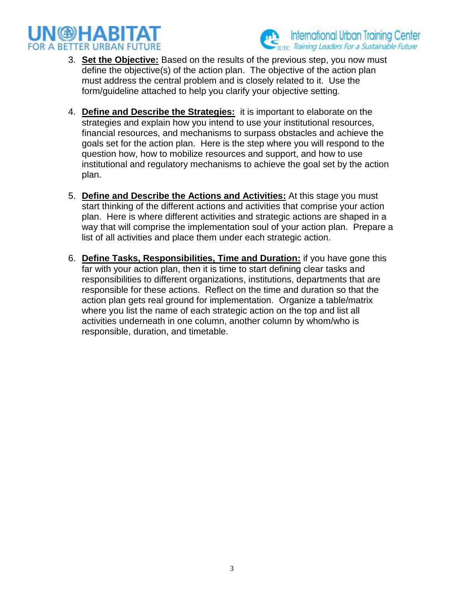



- 3. **Set the Objective:** Based on the results of the previous step, you now must define the objective(s) of the action plan. The objective of the action plan must address the central problem and is closely related to it. Use the form/guideline attached to help you clarify your objective setting.
- 4. **Define and Describe the Strategies:** it is important to elaborate on the strategies and explain how you intend to use your institutional resources, financial resources, and mechanisms to surpass obstacles and achieve the goals set for the action plan. Here is the step where you will respond to the question how, how to mobilize resources and support, and how to use institutional and regulatory mechanisms to achieve the goal set by the action plan.
- 5. **Define and Describe the Actions and Activities:** At this stage you must start thinking of the different actions and activities that comprise your action plan. Here is where different activities and strategic actions are shaped in a way that will comprise the implementation soul of your action plan. Prepare a list of all activities and place them under each strategic action.
- 6. **Define Tasks, Responsibilities, Time and Duration:** if you have gone this far with your action plan, then it is time to start defining clear tasks and responsibilities to different organizations, institutions, departments that are responsible for these actions. Reflect on the time and duration so that the action plan gets real ground for implementation. Organize a table/matrix where you list the name of each strategic action on the top and list all activities underneath in one column, another column by whom/who is responsible, duration, and timetable.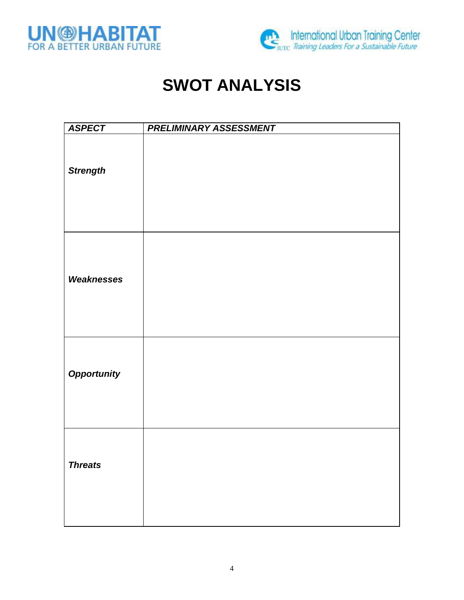



## **SWOT ANALYSIS**

| <b>ASPECT</b>      | PRELIMINARY ASSESSMENT |
|--------------------|------------------------|
| <b>Strength</b>    |                        |
| Weaknesses         |                        |
| <b>Opportunity</b> |                        |
| <b>Threats</b>     |                        |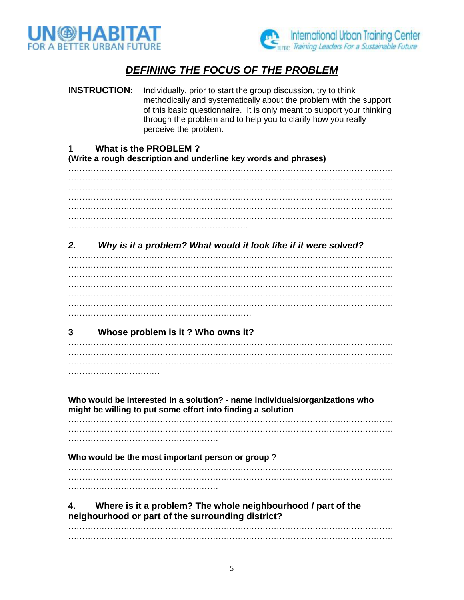



## *DEFINING THE FOCUS OF THE PROBLEM*

**INSTRUCTION:** Individually, prior to start the group discussion, try to think methodically and systematically about the problem with the support of this basic questionnaire. It is only meant to support your thinking through the problem and to help you to clarify how you really perceive the problem.

### 1 **What is the PROBLEM ?**

#### **(Write a rough description and underline key words and phrases)**

……………………………………………………………………………………………………… ……………………………………………………………………………………………………… ……………………………………………………………………………………………………… ……………………………………………………………………………………………………… ……………………………………………………………………………………………………… ……………………………………………………………………………………………………… ………………………………….…………………….

### *2. Why is it a problem? What would it look like if it were solved?*

……………………………………………………………………………………………………… ……………………………………………………………………………………………………… ……………………………………………………………………………………………………… ……………………………………………………………………………………………………… ……………………………………………………………………………………………………… ……………………………………………………………………………………………………… …………………………………………………………

### **3 Whose problem is it ? Who owns it?**

……………………………………………………………………………………………………… ……………………………………………………………………………………………………… ……………………………………………………………………………………………………… …………………………………………

**Who would be interested in a solution? - name individuals/organizations who might be willing to put some effort into finding a solution**

……………………………………………………………………………………………………… ……………………………………………………………………………………………………… ………………………………………………

**Who would be the most important person or group** ?

……………………………………………………………………………………………………… ………………………………………………………………………………………………………

………………………………………………

**4. Where is it a problem? The whole neighbourhood / part of the neighourhood or part of the surrounding district?**

……………………………………………………………………………………………………… ………………………………………………………………………………………………………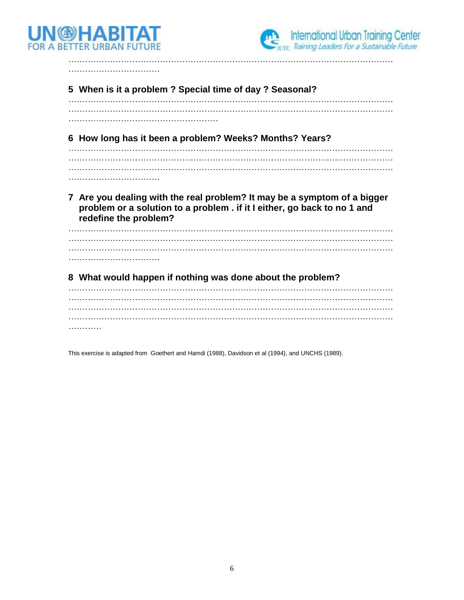



…………………………… **5 When is it a problem ? Special time of day ? Seasonal?** ……………………………………………………………………………………………………… ……………………………………………………………………………………………………… ……………………………………………… **6 How long has it been a problem? Weeks? Months? Years?** ……………………………………………………………………………………………………… ……………………………………………………………………………………………………… ……………………………………………………………………………………………………… ……………………………… **7 Are you dealing with the real problem? It may be a symptom of a bigger problem or a solution to a problem . if it I either, go back to no 1 and redefine the problem?** ……………………………………………………………………………………………………… ……………………………………………………………………………………………………… ……………………………………………………………………………………………………… ……………………………… **8 What would happen if nothing was done about the problem?** ……………………………………………………………………………………………………… ……………………………………………………………………………………………………… ……………………………………………………………………………………………………… ……………………………………………………………………………………………………… …………

………………………………………………………………………………………………………

This exercise is adapted from Goethert and Hamdi (1988), Davidson et al (1994), and UNCHS (1989).

6